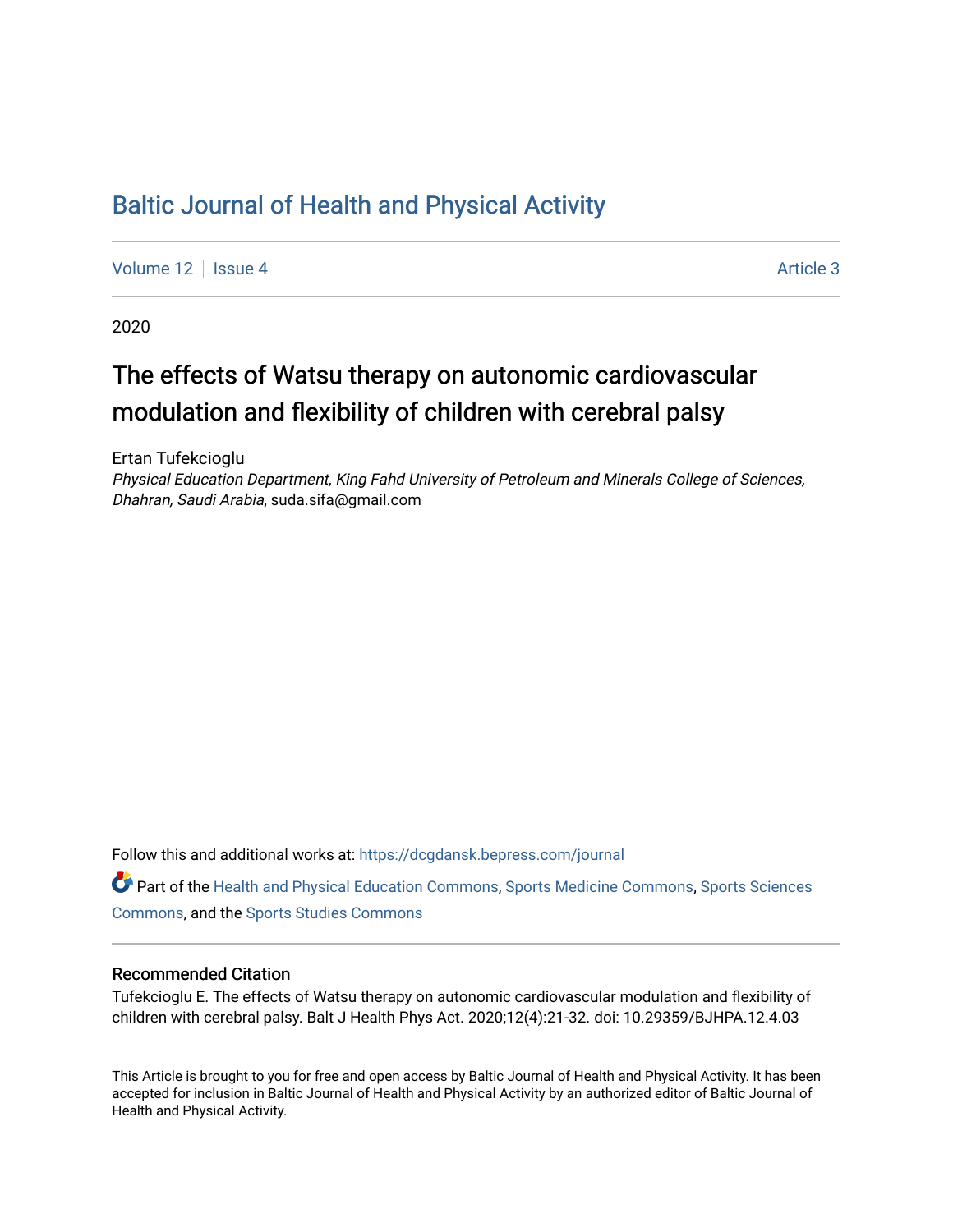## [Baltic Journal of Health and Physical Activity](https://dcgdansk.bepress.com/journal)

[Volume 12](https://dcgdansk.bepress.com/journal/vol12) | [Issue 4](https://dcgdansk.bepress.com/journal/vol12/iss4) Article 3

2020

## The effects of Watsu therapy on autonomic cardiovascular modulation and flexibility of children with cerebral palsy

Ertan Tufekcioglu

Physical Education Department, King Fahd University of Petroleum and Minerals College of Sciences, Dhahran, Saudi Arabia, suda.sifa@gmail.com

Follow this and additional works at: [https://dcgdansk.bepress.com/journal](https://dcgdansk.bepress.com/journal?utm_source=dcgdansk.bepress.com%2Fjournal%2Fvol12%2Fiss4%2F3&utm_medium=PDF&utm_campaign=PDFCoverPages)

Part of the [Health and Physical Education Commons](http://network.bepress.com/hgg/discipline/1327?utm_source=dcgdansk.bepress.com%2Fjournal%2Fvol12%2Fiss4%2F3&utm_medium=PDF&utm_campaign=PDFCoverPages), [Sports Medicine Commons,](http://network.bepress.com/hgg/discipline/1331?utm_source=dcgdansk.bepress.com%2Fjournal%2Fvol12%2Fiss4%2F3&utm_medium=PDF&utm_campaign=PDFCoverPages) [Sports Sciences](http://network.bepress.com/hgg/discipline/759?utm_source=dcgdansk.bepress.com%2Fjournal%2Fvol12%2Fiss4%2F3&utm_medium=PDF&utm_campaign=PDFCoverPages) [Commons](http://network.bepress.com/hgg/discipline/759?utm_source=dcgdansk.bepress.com%2Fjournal%2Fvol12%2Fiss4%2F3&utm_medium=PDF&utm_campaign=PDFCoverPages), and the [Sports Studies Commons](http://network.bepress.com/hgg/discipline/1198?utm_source=dcgdansk.bepress.com%2Fjournal%2Fvol12%2Fiss4%2F3&utm_medium=PDF&utm_campaign=PDFCoverPages) 

#### Recommended Citation

Tufekcioglu E. The effects of Watsu therapy on autonomic cardiovascular modulation and flexibility of children with cerebral palsy. Balt J Health Phys Act. 2020;12(4):21-32. doi: 10.29359/BJHPA.12.4.03

This Article is brought to you for free and open access by Baltic Journal of Health and Physical Activity. It has been accepted for inclusion in Baltic Journal of Health and Physical Activity by an authorized editor of Baltic Journal of Health and Physical Activity.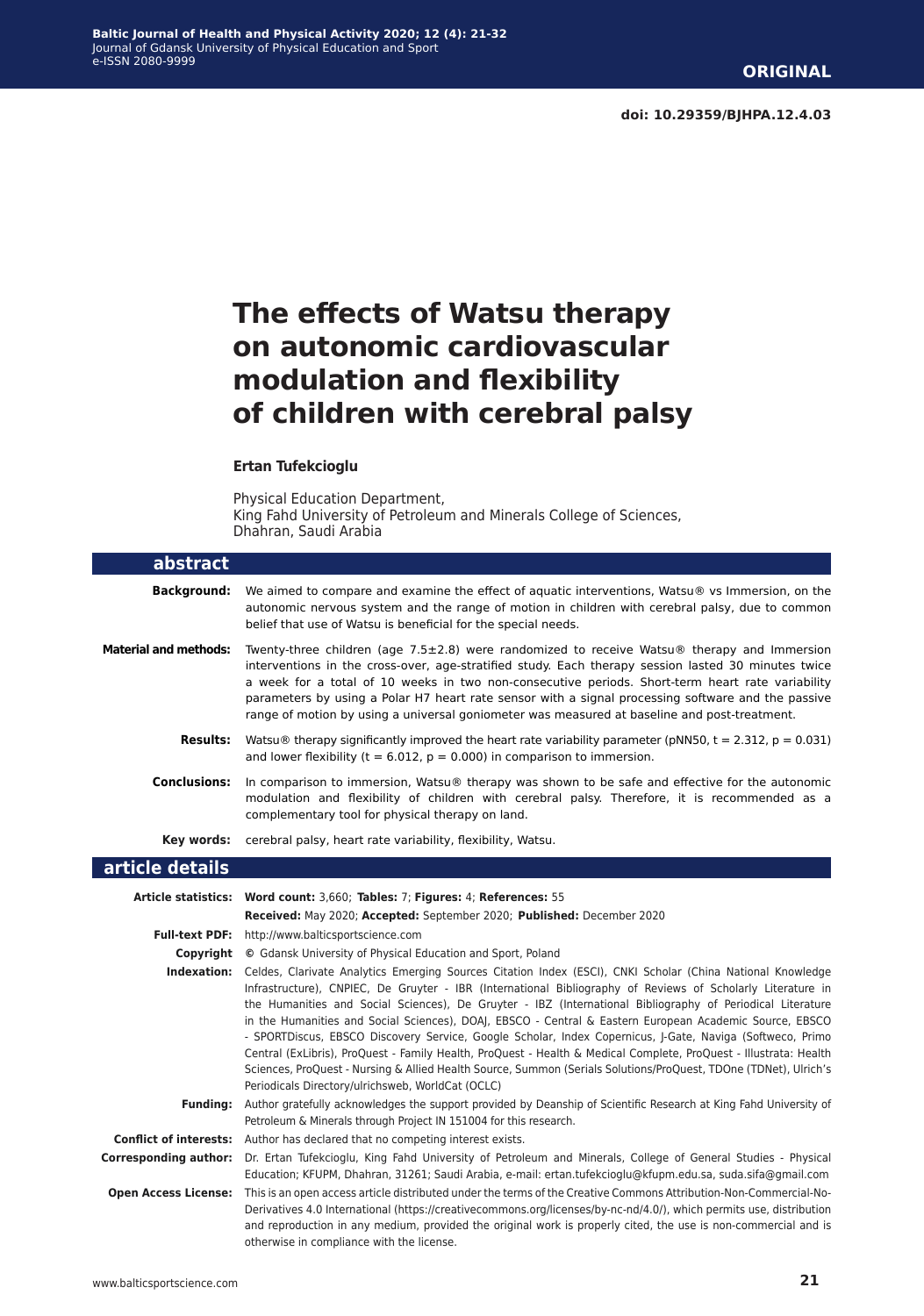# **The effects of Watsu therapy on autonomic cardiovascular modulation and flexibility of children with cerebral palsy**

#### **Ertan Tufekcioglu**

Physical Education Department, King Fahd University of Petroleum and Minerals College of Sciences, Dhahran, Saudi Arabia

| abstract                     |                                                                                                                                                                                                                                                                                                                                                                                                                                                                                                                                                                                                                                                                                                                                                                                                                                                               |
|------------------------------|---------------------------------------------------------------------------------------------------------------------------------------------------------------------------------------------------------------------------------------------------------------------------------------------------------------------------------------------------------------------------------------------------------------------------------------------------------------------------------------------------------------------------------------------------------------------------------------------------------------------------------------------------------------------------------------------------------------------------------------------------------------------------------------------------------------------------------------------------------------|
| <b>Background:</b>           | We aimed to compare and examine the effect of aquatic interventions, Watsu® vs Immersion, on the<br>autonomic nervous system and the range of motion in children with cerebral palsy, due to common<br>belief that use of Watsu is beneficial for the special needs.                                                                                                                                                                                                                                                                                                                                                                                                                                                                                                                                                                                          |
| <b>Material and methods:</b> | Twenty-three children (age $7.5\pm2.8$ ) were randomized to receive Watsu <sup>®</sup> therapy and Immersion<br>interventions in the cross-over, age-stratified study. Each therapy session lasted 30 minutes twice<br>a week for a total of 10 weeks in two non-consecutive periods. Short-term heart rate variability<br>parameters by using a Polar H7 heart rate sensor with a signal processing software and the passive<br>range of motion by using a universal goniometer was measured at baseline and post-treatment.                                                                                                                                                                                                                                                                                                                                 |
| <b>Results:</b>              | Watsu® therapy significantly improved the heart rate variability parameter (pNN50, t = 2.312, p = 0.031)<br>and lower flexibility ( $t = 6.012$ , $p = 0.000$ ) in comparison to immersion.                                                                                                                                                                                                                                                                                                                                                                                                                                                                                                                                                                                                                                                                   |
| <b>Conclusions:</b>          | In comparison to immersion, Watsu® therapy was shown to be safe and effective for the autonomic<br>modulation and flexibility of children with cerebral palsy. Therefore, it is recommended as a<br>complementary tool for physical therapy on land.                                                                                                                                                                                                                                                                                                                                                                                                                                                                                                                                                                                                          |
|                              | Key words: cerebral palsy, heart rate variability, flexibility, Watsu.                                                                                                                                                                                                                                                                                                                                                                                                                                                                                                                                                                                                                                                                                                                                                                                        |
| article details              |                                                                                                                                                                                                                                                                                                                                                                                                                                                                                                                                                                                                                                                                                                                                                                                                                                                               |
|                              | Article statistics: Word count: 3,660; Tables: 7; Figures: 4; References: 55                                                                                                                                                                                                                                                                                                                                                                                                                                                                                                                                                                                                                                                                                                                                                                                  |
|                              | Received: May 2020; Accepted: September 2020; Published: December 2020                                                                                                                                                                                                                                                                                                                                                                                                                                                                                                                                                                                                                                                                                                                                                                                        |
|                              | Full-text PDF: http://www.balticsportscience.com                                                                                                                                                                                                                                                                                                                                                                                                                                                                                                                                                                                                                                                                                                                                                                                                              |
|                              | <b>Copyright</b> © Gdansk University of Physical Education and Sport, Poland                                                                                                                                                                                                                                                                                                                                                                                                                                                                                                                                                                                                                                                                                                                                                                                  |
| Indexation:                  | Celdes, Clarivate Analytics Emerging Sources Citation Index (ESCI), CNKI Scholar (China National Knowledge<br>Infrastructure), CNPIEC, De Gruyter - IBR (International Bibliography of Reviews of Scholarly Literature in<br>the Humanities and Social Sciences), De Gruyter - IBZ (International Bibliography of Periodical Literature<br>in the Humanities and Social Sciences), DOAJ, EBSCO - Central & Eastern European Academic Source, EBSCO<br>- SPORTDiscus, EBSCO Discovery Service, Google Scholar, Index Copernicus, J-Gate, Naviga (Softweco, Primo<br>Central (ExLibris), ProQuest - Family Health, ProQuest - Health & Medical Complete, ProQuest - Illustrata: Health<br>Sciences, ProQuest - Nursing & Allied Health Source, Summon (Serials Solutions/ProQuest, TDOne (TDNet), Ulrich's<br>Periodicals Directory/ulrichsweb, WorldCat (OCLC) |
| <b>Funding:</b>              | Author gratefully acknowledges the support provided by Deanship of Scientific Research at King Fahd University of<br>Petroleum & Minerals through Project IN 151004 for this research.                                                                                                                                                                                                                                                                                                                                                                                                                                                                                                                                                                                                                                                                        |
|                              | <b>Conflict of interests:</b> Author has declared that no competing interest exists.                                                                                                                                                                                                                                                                                                                                                                                                                                                                                                                                                                                                                                                                                                                                                                          |
| <b>Corresponding author:</b> | Dr. Ertan Tufekcioglu, King Fahd University of Petroleum and Minerals, College of General Studies - Physical<br>Education; KFUPM, Dhahran, 31261; Saudi Arabia, e-mail: ertan.tufekcioglu@kfupm.edu.sa, suda.sifa@gmail.com                                                                                                                                                                                                                                                                                                                                                                                                                                                                                                                                                                                                                                   |
| <b>Open Access License:</b>  | This is an open access article distributed under the terms of the Creative Commons Attribution-Non-Commercial-No-<br>Derivatives 4.0 International (https://creativecommons.org/licenses/by-nc-nd/4.0/), which permits use, distribution<br>and reproduction in any medium, provided the original work is properly cited, the use is non-commercial and is<br>otherwise in compliance with the license.                                                                                                                                                                                                                                                                                                                                                                                                                                                       |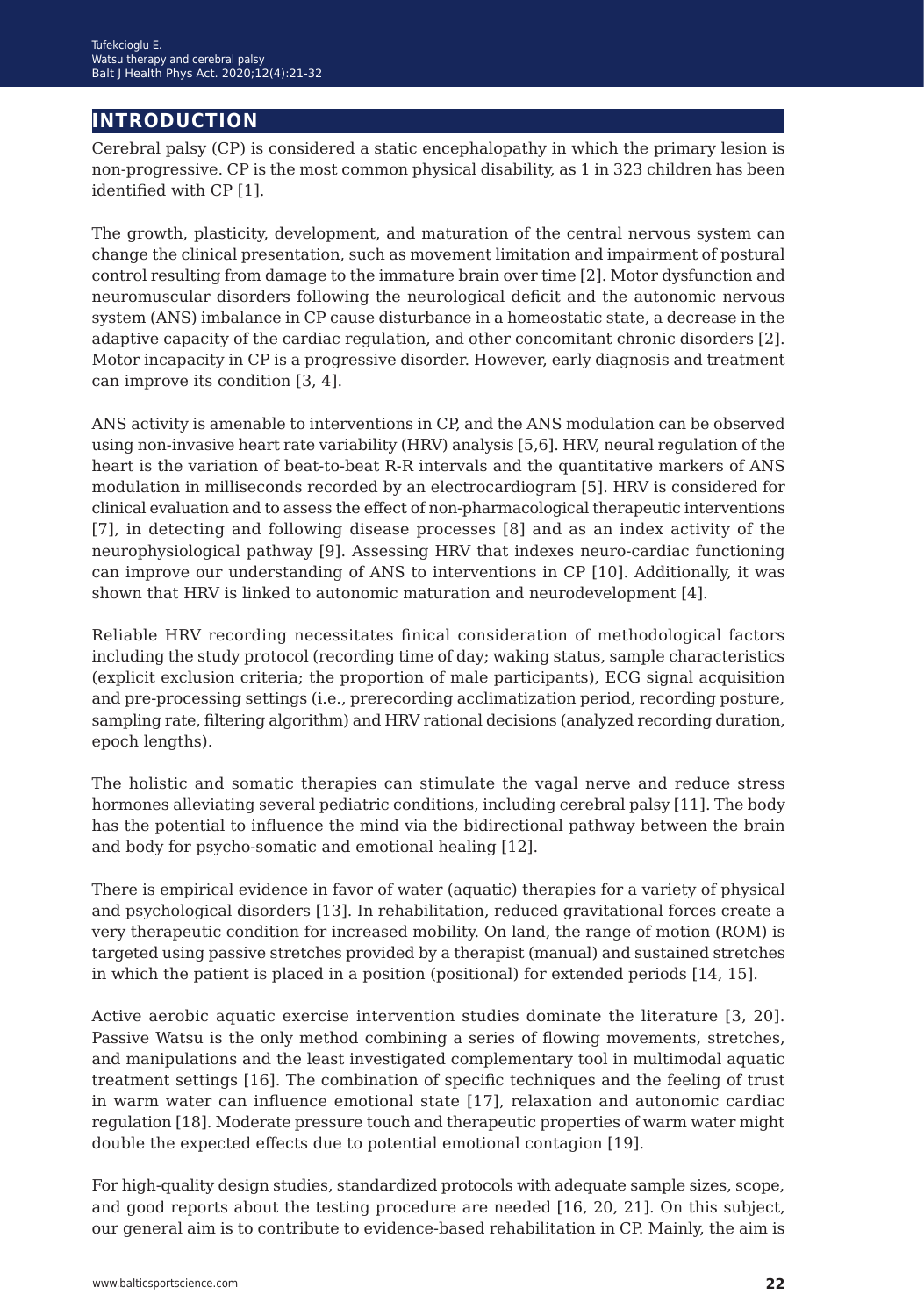## **introduction**

Cerebral palsy (CP) is considered a static encephalopathy in which the primary lesion is non-progressive. CP is the most common physical disability, as 1 in 323 children has been identified with CP [1].

The growth, plasticity, development, and maturation of the central nervous system can change the clinical presentation, such as movement limitation and impairment of postural control resulting from damage to the immature brain over time [2]. Motor dysfunction and neuromuscular disorders following the neurological deficit and the autonomic nervous system (ANS) imbalance in CP cause disturbance in a homeostatic state, a decrease in the adaptive capacity of the cardiac regulation, and other concomitant chronic disorders [2]. Motor incapacity in CP is a progressive disorder. However, early diagnosis and treatment can improve its condition [3, 4].

ANS activity is amenable to interventions in CP, and the ANS modulation can be observed using non-invasive heart rate variability (HRV) analysis [5,6]. HRV, neural regulation of the heart is the variation of beat-to-beat R-R intervals and the quantitative markers of ANS modulation in milliseconds recorded by an electrocardiogram [5]. HRV is considered for clinical evaluation and to assess the effect of non-pharmacological therapeutic interventions [7], in detecting and following disease processes [8] and as an index activity of the neurophysiological pathway [9]. Assessing HRV that indexes neuro-cardiac functioning can improve our understanding of ANS to interventions in CP [10]. Additionally, it was shown that HRV is linked to autonomic maturation and neurodevelopment [4].

Reliable HRV recording necessitates finical consideration of methodological factors including the study protocol (recording time of day; waking status, sample characteristics (explicit exclusion criteria; the proportion of male participants), ECG signal acquisition and pre-processing settings (i.e., prerecording acclimatization period, recording posture, sampling rate, filtering algorithm) and HRV rational decisions (analyzed recording duration, epoch lengths).

The holistic and somatic therapies can stimulate the vagal nerve and reduce stress hormones alleviating several pediatric conditions, including cerebral palsy [11]. The body has the potential to influence the mind via the bidirectional pathway between the brain and body for psycho-somatic and emotional healing [12].

There is empirical evidence in favor of water (aquatic) therapies for a variety of physical and psychological disorders [13]. In rehabilitation, reduced gravitational forces create a very therapeutic condition for increased mobility. On land, the range of motion (ROM) is targeted using passive stretches provided by a therapist (manual) and sustained stretches in which the patient is placed in a position (positional) for extended periods [14, 15].

Active aerobic aquatic exercise intervention studies dominate the literature [3, 20]. Passive Watsu is the only method combining a series of flowing movements, stretches, and manipulations and the least investigated complementary tool in multimodal aquatic treatment settings [16]. The combination of specific techniques and the feeling of trust in warm water can influence emotional state [17], relaxation and autonomic cardiac regulation [18]. Moderate pressure touch and therapeutic properties of warm water might double the expected effects due to potential emotional contagion [19].

For high-quality design studies, standardized protocols with adequate sample sizes, scope, and good reports about the testing procedure are needed [16, 20, 21]. On this subject, our general aim is to contribute to evidence-based rehabilitation in CP. Mainly, the aim is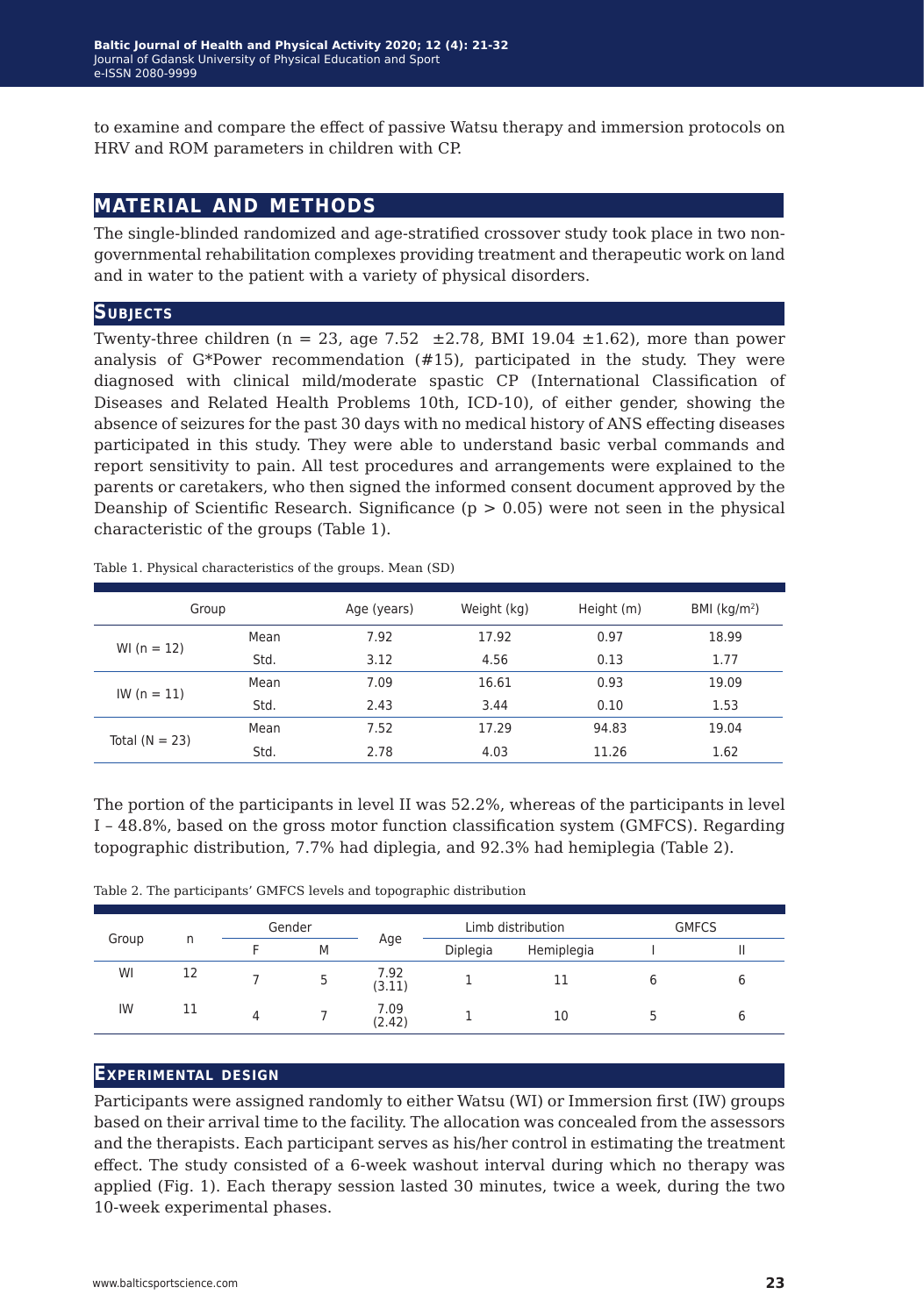to examine and compare the effect of passive Watsu therapy and immersion protocols on HRV and ROM parameters in children with CP.

## **material and methods**

The single-blinded randomized and age-stratified crossover study took place in two nongovernmental rehabilitation complexes providing treatment and therapeutic work on land and in water to the patient with a variety of physical disorders.

#### **Subjects**

Twenty-three children (n = 23, age 7.52  $\pm$ 2.78, BMI 19.04  $\pm$ 1.62), more than power analysis of G\*Power recommendation (#15), participated in the study. They were diagnosed with clinical mild/moderate spastic CP (International Classification of Diseases and Related Health Problems 10th, ICD-10), of either gender, showing the absence of seizures for the past 30 days with no medical history of ANS effecting diseases participated in this study. They were able to understand basic verbal commands and report sensitivity to pain. All test procedures and arrangements were explained to the parents or caretakers, who then signed the informed consent document approved by the Deanship of Scientific Research. Significance ( $p > 0.05$ ) were not seen in the physical characteristic of the groups (Table 1).

| Group            |      | Age (years) | Weight (kg) | Height (m) | BMI ( $kg/m2$ ) |
|------------------|------|-------------|-------------|------------|-----------------|
| WI $(n = 12)$    | Mean | 7.92        | 17.92       | 0.97       | 18.99           |
|                  | Std. | 3.12        | 4.56        | 0.13       | 1.77            |
| $IW (n = 11)$    | Mean | 7.09        | 16.61       | 0.93       | 19.09           |
|                  | Std. | 2.43        | 3.44        | 0.10       | 1.53            |
| Total $(N = 23)$ | Mean | 7.52        | 17.29       | 94.83      | 19.04           |
|                  | Std. | 2.78        | 4.03        | 11.26      | 1.62            |

Table 1. Physical characteristics of the groups. Mean (SD)

The portion of the participants in level II was 52.2%, whereas of the participants in level I – 48.8%, based on the gross motor function classification system (GMFCS). Regarding topographic distribution, 7.7% had diplegia, and 92.3% had hemiplegia (Table 2).

Table 2. The participants' GMFCS levels and topographic distribution

|       |    | Gender |   |                | Limb distribution |            | <b>GMFCS</b> |  |
|-------|----|--------|---|----------------|-------------------|------------|--------------|--|
| Group | n  |        | M | Age            | Diplegia          | Hemiplegia |              |  |
| WI    | 12 |        |   | 7.92<br>(3.11) |                   | 11         |              |  |
| IW    | 11 |        |   | 7.09<br>(2.42) |                   | 10         |              |  |

### **Experimental design**

Participants were assigned randomly to either Watsu (WI) or Immersion first (IW) groups based on their arrival time to the facility. The allocation was concealed from the assessors and the therapists. Each participant serves as his/her control in estimating the treatment effect. The study consisted of a 6-week washout interval during which no therapy was applied (Fig. 1). Each therapy session lasted 30 minutes, twice a week, during the two 10-week experimental phases.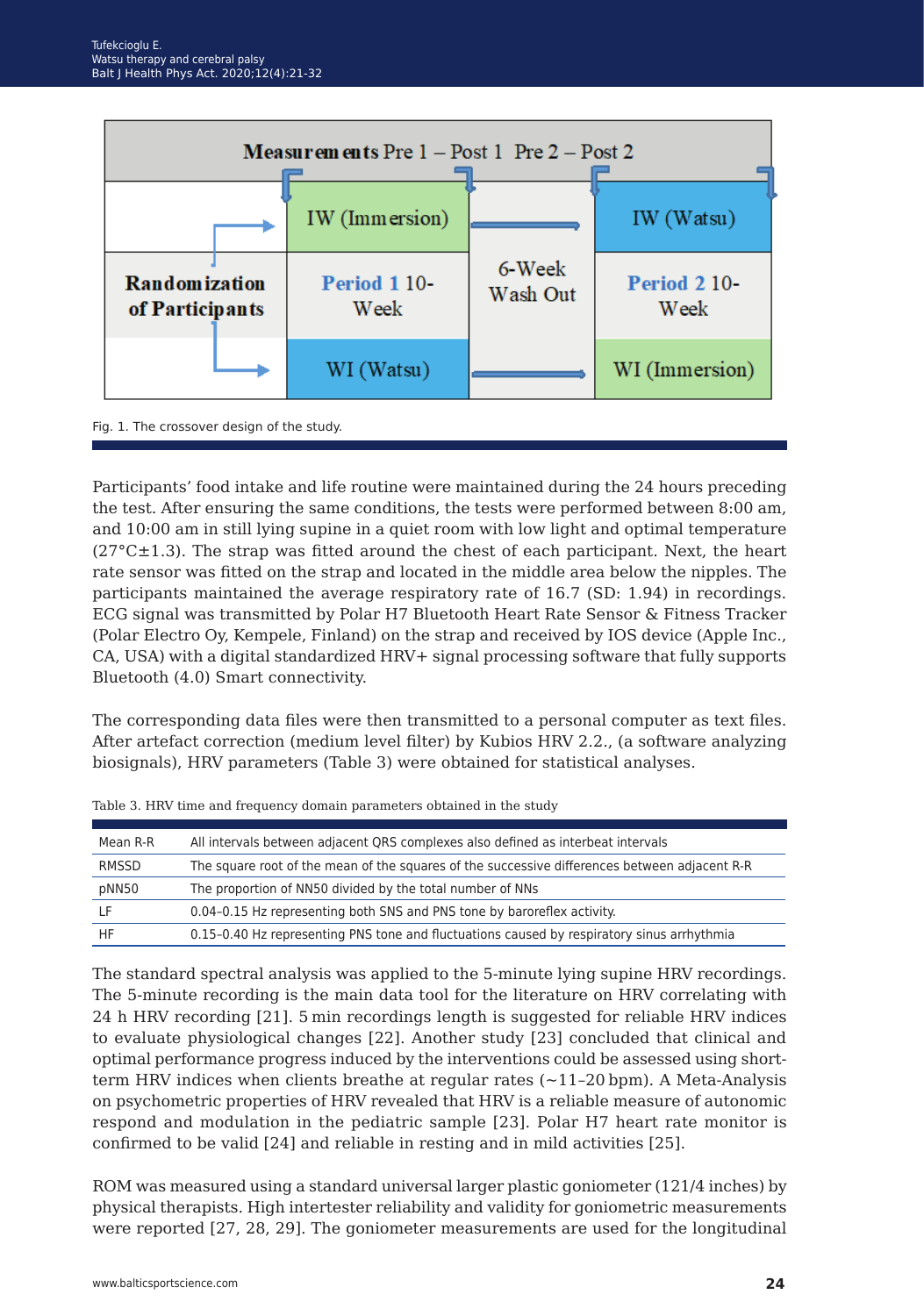



Participants' food intake and life routine were maintained during the 24 hours preceding the test. After ensuring the same conditions, the tests were performed between 8:00 am, and 10:00 am in still lying supine in a quiet room with low light and optimal temperature  $(27^{\circ}C\pm1.3)$ . The strap was fitted around the chest of each participant. Next, the heart rate sensor was fitted on the strap and located in the middle area below the nipples. The participants maintained the average respiratory rate of 16.7 (SD: 1.94) in recordings. ECG signal was transmitted by Polar H7 Bluetooth Heart Rate Sensor & Fitness Tracker (Polar Electro Oy, Kempele, Finland) on the strap and received by IOS device (Apple Inc., CA, USA) with a digital standardized HRV+ signal processing software that fully supports Bluetooth (4.0) Smart connectivity.

The corresponding data files were then transmitted to a personal computer as text files. After artefact correction (medium level filter) by Kubios HRV 2.2., (a software analyzing biosignals), HRV parameters (Table 3) were obtained for statistical analyses.

| Mean R-R | All intervals between adjacent QRS complexes also defined as interbeat intervals              |
|----------|-----------------------------------------------------------------------------------------------|
| RMSSD    | The square root of the mean of the squares of the successive differences between adjacent R-R |
| pNN50    | The proportion of NN50 divided by the total number of NNs                                     |
|          | 0.04–0.15 Hz representing both SNS and PNS tone by baroreflex activity.                       |
| HF       | 0.15-0.40 Hz representing PNS tone and fluctuations caused by respiratory sinus arrhythmia    |

|  |  |  |  |  |  |  | Table 3. HRV time and frequency domain parameters obtained in the study |
|--|--|--|--|--|--|--|-------------------------------------------------------------------------|
|--|--|--|--|--|--|--|-------------------------------------------------------------------------|

The standard spectral analysis was applied to the 5-minute lying supine HRV recordings. The 5-minute recording is the main data tool for the literature on HRV correlating with 24 h HRV recording [21]. 5 min recordings length is suggested for reliable HRV indices to evaluate physiological changes [22]. Another study [23] concluded that clinical and optimal performance progress induced by the interventions could be assessed using shortterm HRV indices when clients breathe at regular rates  $(-11-20$  bpm). A Meta-Analysis on psychometric properties of HRV revealed that HRV is a reliable measure of autonomic respond and modulation in the pediatric sample [23]. Polar H7 heart rate monitor is confirmed to be valid [24] and reliable in resting and in mild activities [25].

ROM was measured using a standard universal larger plastic goniometer (121/4 inches) by physical therapists. High intertester reliability and validity for goniometric measurements were reported [27, 28, 29]. The goniometer measurements are used for the longitudinal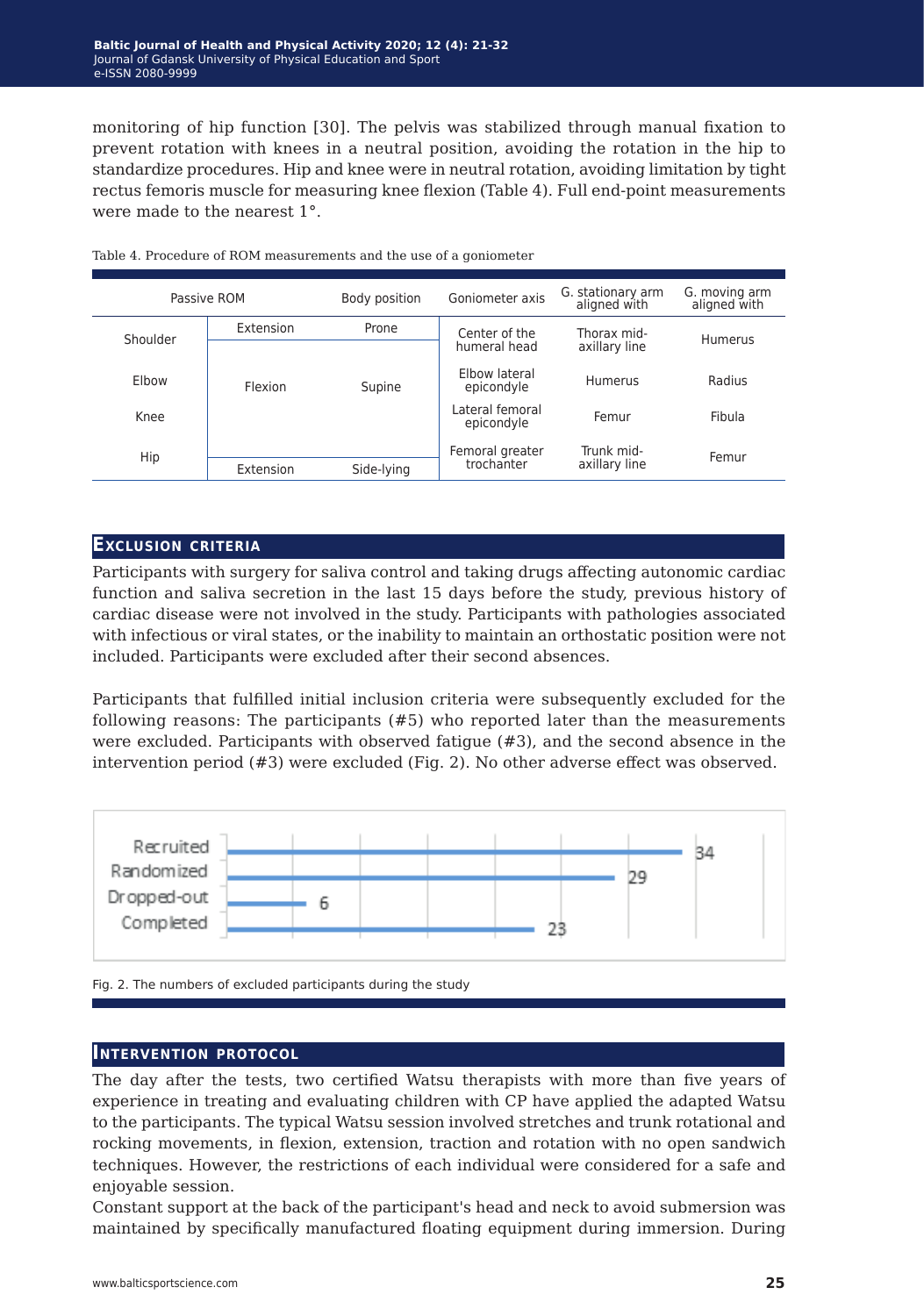monitoring of hip function [30]. The pelvis was stabilized through manual fixation to prevent rotation with knees in a neutral position, avoiding the rotation in the hip to standardize procedures. Hip and knee were in neutral rotation, avoiding limitation by tight rectus femoris muscle for measuring knee flexion (Table 4). Full end‐point measurements were made to the nearest 1<sup>°</sup>

| Passive ROM  |           | Body position | Goniometer axis               | G. stationary arm<br>aligned with | G. moving arm<br>aligned with |
|--------------|-----------|---------------|-------------------------------|-----------------------------------|-------------------------------|
| Shoulder     | Extension | Prone         | Center of the<br>humeral head | Thorax mid-<br>axillary line      | Humerus                       |
| <b>Flbow</b> | Flexion   | Supine        | Flbow lateral<br>epicondyle   | Humerus                           | Radius                        |
| Knee         |           |               | Lateral femoral<br>epicondyle | Femur                             | Fibula                        |
| Hip          |           |               | Femoral greater               | Trunk mid-                        | Femur                         |
|              | Extension | Side-lying    | trochanter                    | axillary line                     |                               |

Table 4. Procedure of ROM measurements and the use of a goniometer

#### **Exclusion criteria**

Participants with surgery for saliva control and taking drugs affecting autonomic cardiac function and saliva secretion in the last 15 days before the study, previous history of cardiac disease were not involved in the study. Participants with pathologies associated with infectious or viral states, or the inability to maintain an orthostatic position were not included. Participants were excluded after their second absences.

Participants that fulfilled initial inclusion criteria were subsequently excluded for the following reasons: The participants (#5) who reported later than the measurements were excluded. Participants with observed fatigue (#3), and the second absence in the intervention period (#3) were excluded (Fig. 2). No other adverse effect was observed.



Fig. 2. The numbers of excluded participants during the study

#### **Intervention protocol**

The day after the tests, two certified Watsu therapists with more than five years of experience in treating and evaluating children with CP have applied the adapted Watsu to the participants. The typical Watsu session involved stretches and trunk rotational and rocking movements, in flexion, extension, traction and rotation with no open sandwich techniques. However, the restrictions of each individual were considered for a safe and enjoyable session.

Constant support at the back of the participant's head and neck to avoid submersion was maintained by specifically manufactured floating equipment during immersion. During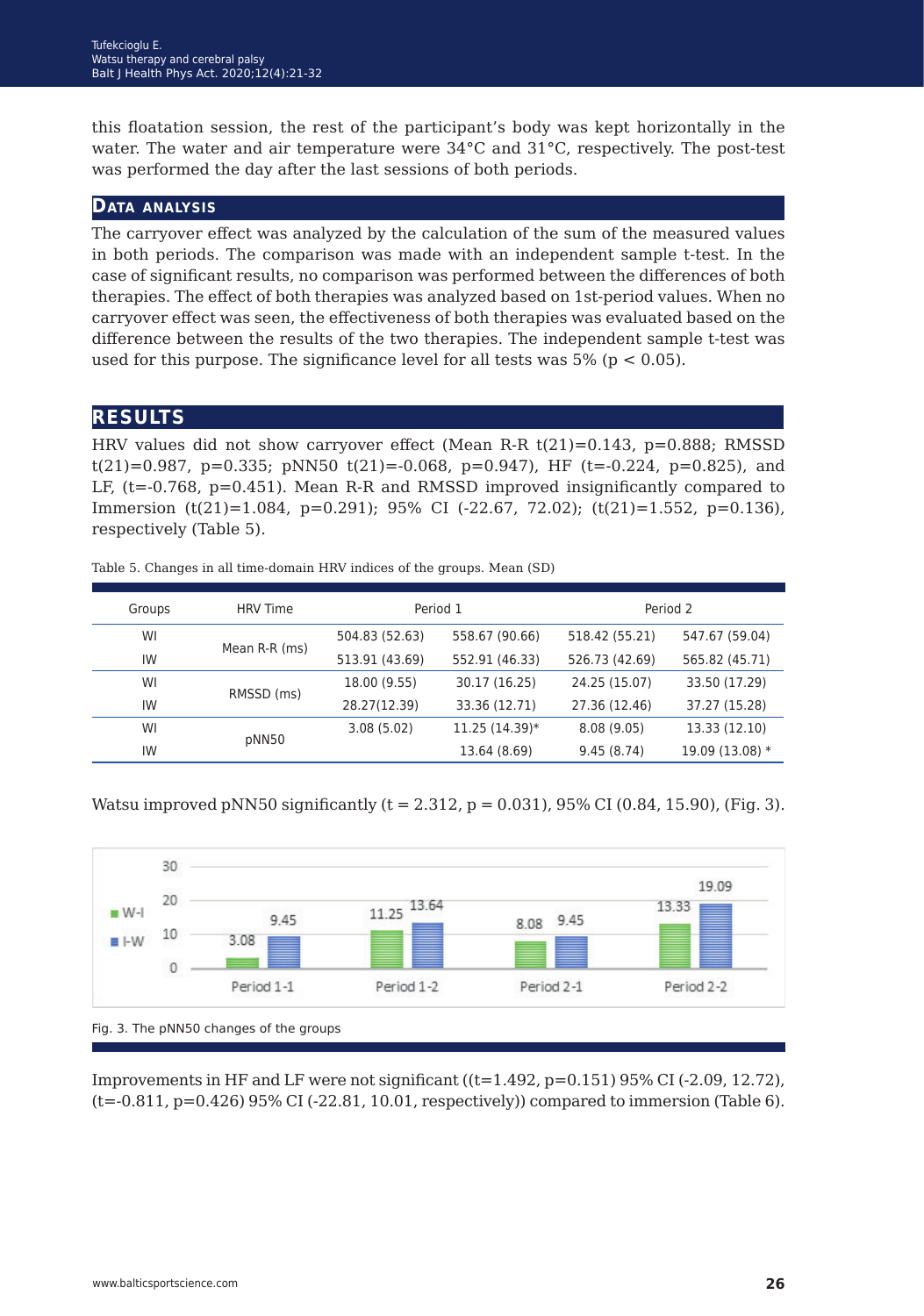this floatation session, the rest of the participant's body was kept horizontally in the water. The water and air temperature were 34°C and 31°C, respectively. The post-test was performed the day after the last sessions of both periods.

#### **Data analysis**

The carryover effect was analyzed by the calculation of the sum of the measured values in both periods. The comparison was made with an independent sample t-test. In the case of significant results, no comparison was performed between the differences of both therapies. The effect of both therapies was analyzed based on 1st-period values. When no carryover effect was seen, the effectiveness of both therapies was evaluated based on the difference between the results of the two therapies. The independent sample t-test was used for this purpose. The significance level for all tests was  $5\%$  (p  $\lt$  0.05).

### **results**

HRV values did not show carryover effect (Mean R-R t(21)=0.143, p=0.888; RMSSD  $t(21)=0.987$ ,  $p=0.335$ ;  $pNN50$   $t(21)=0.068$ ,  $p=0.947$ ), HF ( $t=-0.224$ ,  $p=0.825$ ), and LF, (t=-0.768, p=0.451). Mean R-R and RMSSD improved insignificantly compared to Immersion (t(21)=1.084, p=0.291); 95% CI (-22.67, 72.02); (t(21)=1.552, p=0.136), respectively (Table 5).

| Groups | <b>HRV</b> Time | Period 1       |                | Period 2       |                 |
|--------|-----------------|----------------|----------------|----------------|-----------------|
| WI     |                 | 504.83 (52.63) | 558.67 (90.66) | 518.42 (55.21) | 547.67 (59.04)  |
| IW     | Mean R-R (ms)   | 513.91 (43.69) | 552.91 (46.33) | 526.73 (42.69) | 565.82 (45.71)  |
| WI     | RMSSD (ms)      | 18.00 (9.55)   | 30.17 (16.25)  | 24.25 (15.07)  | 33.50 (17.29)   |
| IW     |                 | 28.27(12.39)   | 33.36 (12.71)  | 27.36 (12.46)  | 37.27 (15.28)   |
| WI     |                 | 3.08(5.02)     | 11.25 (14.39)* | 8.08(9.05)     | 13.33 (12.10)   |
| IW     | pNN50           |                | 13.64 (8.69)   | 9.45(8.74)     | 19.09 (13.08) * |

Table 5. Changes in all time-domain HRV indices of the groups. Mean (SD)

Watsu improved pNN50 significantly  $(t = 2.312, p = 0.031)$ , 95% CI (0.84, 15.90), (Fig. 3).



Improvements in HF and LF were not significant  $((t=1.492, p=0.151) 95\% \text{ CI } (-2.09, 12.72)$ , (t=-0.811, p=0.426) 95% CI (-22.81, 10.01, respectively)) compared to immersion (Table 6).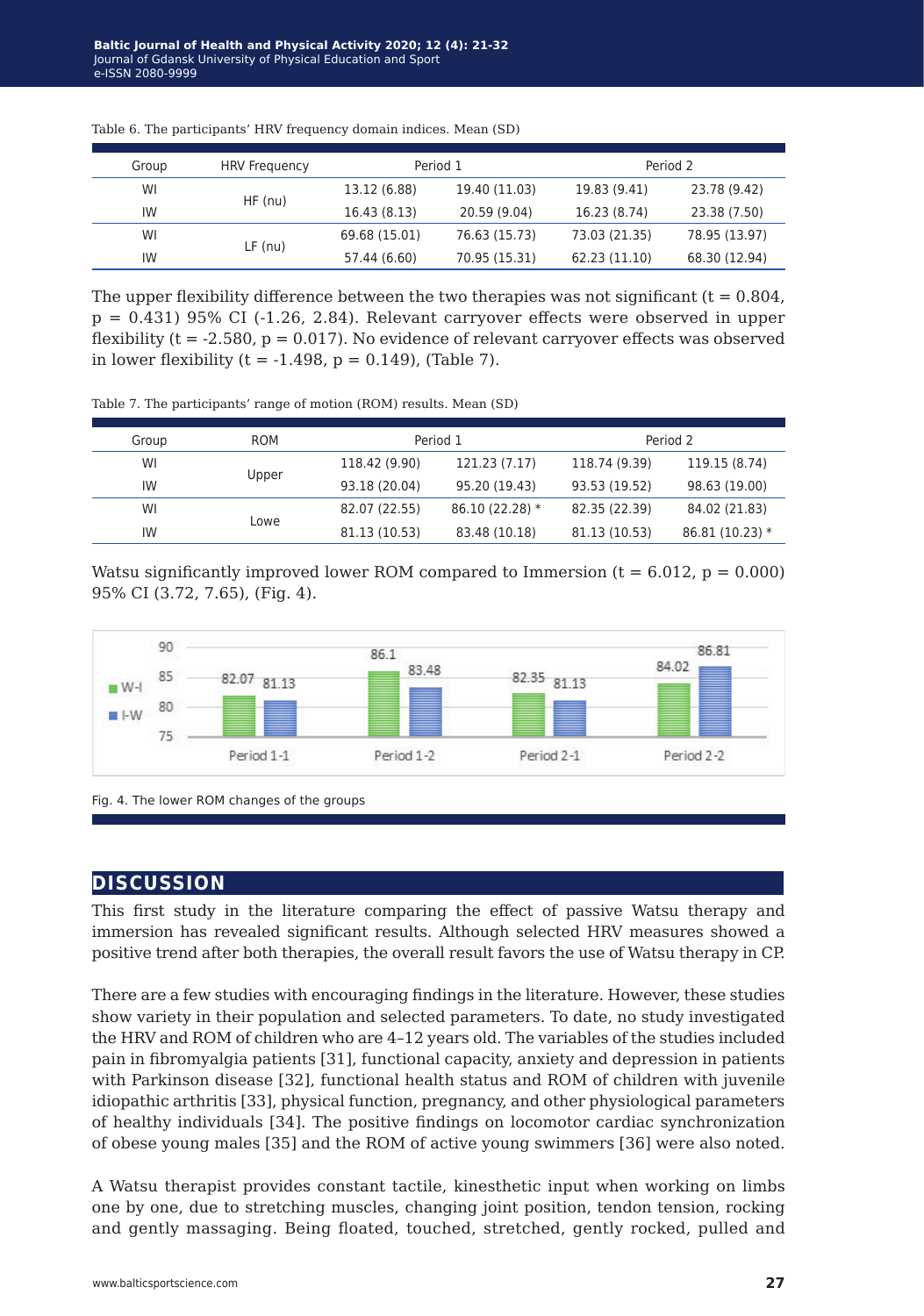| Group | <b>HRV</b> Frequency |               | Period 1      |               | Period 2      |
|-------|----------------------|---------------|---------------|---------------|---------------|
| WI    |                      | 13.12 (6.88)  | 19.40 (11.03) | 19.83 (9.41)  | 23.78 (9.42)  |
| IW    | $HF$ (nu)            | 16.43 (8.13)  | 20.59 (9.04)  | 16.23 (8.74)  | 23.38 (7.50)  |
| WI    |                      | 69.68 (15.01) | 76.63 (15.73) | 73.03 (21.35) | 78.95 (13.97) |
| IW    | $LF$ (nu)            | 57.44 (6.60)  | 70.95 (15.31) | 62.23 (11.10) | 68.30 (12.94) |

Table 6. The participants' HRV frequency domain indices. Mean (SD)

The upper flexibility difference between the two therapies was not significant  $(t = 0.804)$ ,  $p = 0.431$ ) 95% CI (-1.26, 2.84). Relevant carryover effects were observed in upper flexibility ( $t = -2.580$ ,  $p = 0.017$ ). No evidence of relevant carryover effects was observed in lower flexibility ( $t = -1.498$ ,  $p = 0.149$ ), (Table 7).

Table 7. The participants' range of motion (ROM) results. Mean (SD)

| Group | <b>ROM</b> |               | Period 1         |               | Period 2        |
|-------|------------|---------------|------------------|---------------|-----------------|
| WI    |            | 118.42 (9.90) | 121.23 (7.17)    | 118.74 (9.39) | 119.15 (8.74)   |
| IW    | Upper      | 93.18 (20.04) | 95.20 (19.43)    | 93.53 (19.52) | 98.63 (19.00)   |
| WI    |            | 82.07 (22.55) | $86.10(22.28)$ * | 82.35 (22.39) | 84.02 (21.83)   |
| IW    | Lowe       | 81.13 (10.53) | 83.48 (10.18)    | 81.13 (10.53) | $86.81(10.23)*$ |

Watsu significantly improved lower ROM compared to Immersion  $(t = 6.012, p = 0.000)$ 95% CI (3.72, 7.65), (Fig. 4).



Fig. 4. The lower ROM changes of the groups

#### **discussion**

This first study in the literature comparing the effect of passive Watsu therapy and immersion has revealed significant results. Although selected HRV measures showed a positive trend after both therapies, the overall result favors the use of Watsu therapy in CP.

There are a few studies with encouraging findings in the literature. However, these studies show variety in their population and selected parameters. To date, no study investigated the HRV and ROM of children who are 4–12 years old. The variables of the studies included pain in fibromyalgia patients [31], functional capacity, anxiety and depression in patients with Parkinson disease [32], functional health status and ROM of children with juvenile idiopathic arthritis [33], physical function, pregnancy, and other physiological parameters of healthy individuals [34]. The positive findings on locomotor cardiac synchronization of obese young males [35] and the ROM of active young swimmers [36] were also noted.

A Watsu therapist provides constant tactile, kinesthetic input when working on limbs one by one, due to stretching muscles, changing joint position, tendon tension, rocking and gently massaging. Being floated, touched, stretched, gently rocked, pulled and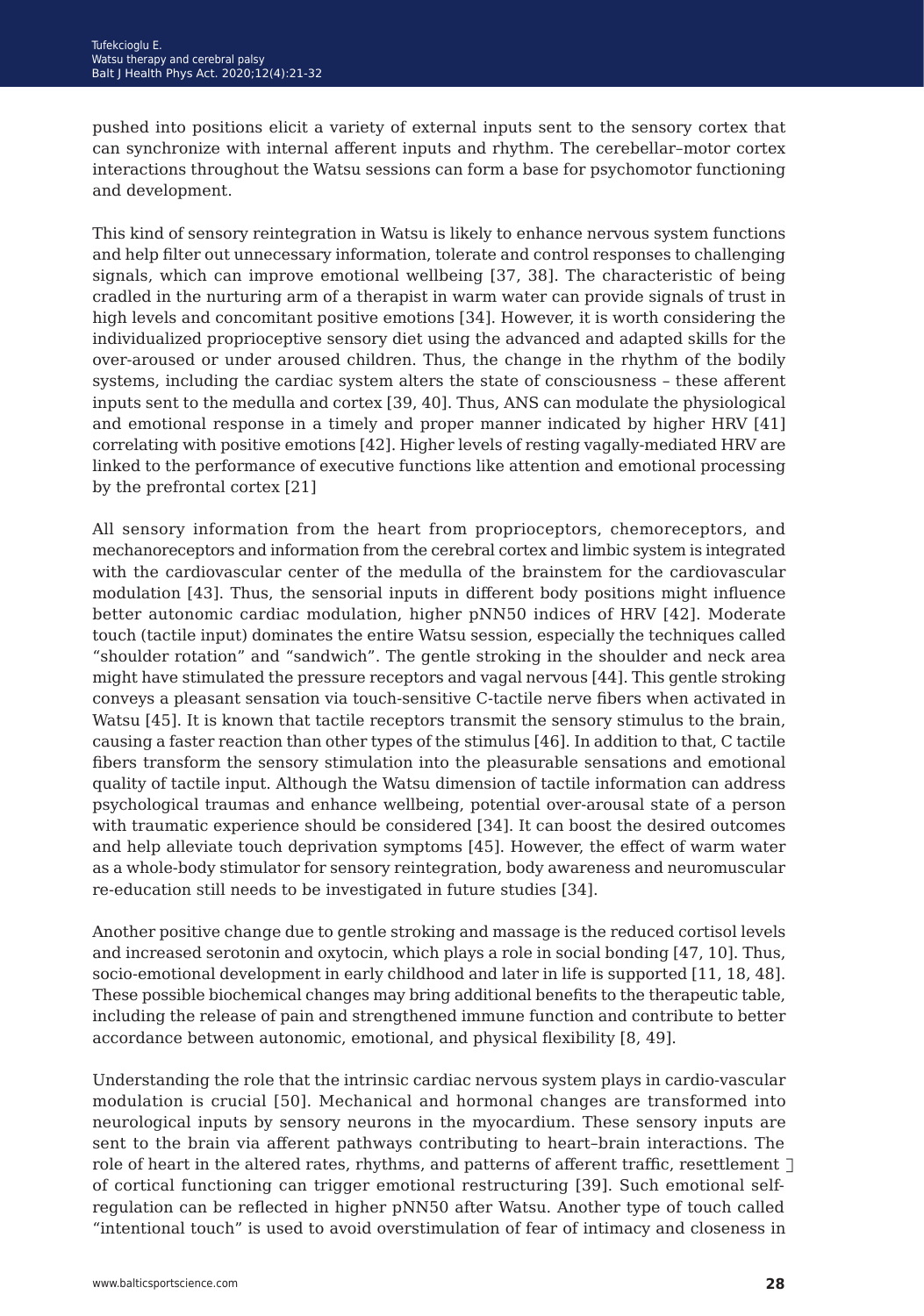pushed into positions elicit a variety of external inputs sent to the sensory cortex that can synchronize with internal afferent inputs and rhythm. The cerebellar–motor cortex interactions throughout the Watsu sessions can form a base for psychomotor functioning and development.

This kind of sensory reintegration in Watsu is likely to enhance nervous system functions and help filter out unnecessary information, tolerate and control responses to challenging signals, which can improve emotional wellbeing [37, 38]. The characteristic of being cradled in the nurturing arm of a therapist in warm water can provide signals of trust in high levels and concomitant positive emotions [34]. However, it is worth considering the individualized proprioceptive sensory diet using the advanced and adapted skills for the over-aroused or under aroused children. Thus, the change in the rhythm of the bodily systems, including the cardiac system alters the state of consciousness – these afferent inputs sent to the medulla and cortex [39, 40]. Thus, ANS can modulate the physiological and emotional response in a timely and proper manner indicated by higher HRV [41] correlating with positive emotions [42]. Higher levels of resting vagally-mediated HRV are linked to the performance of executive functions like attention and emotional processing by the prefrontal cortex [21]

All sensory information from the heart from proprioceptors, chemoreceptors, and mechanoreceptors and information from the cerebral cortex and limbic system is integrated with the cardiovascular center of the medulla of the brainstem for the cardiovascular modulation [43]. Thus, the sensorial inputs in different body positions might influence better autonomic cardiac modulation, higher pNN50 indices of HRV [42]. Moderate touch (tactile input) dominates the entire Watsu session, especially the techniques called "shoulder rotation" and "sandwich". The gentle stroking in the shoulder and neck area might have stimulated the pressure receptors and vagal nervous [44]. This gentle stroking conveys a pleasant sensation via touch-sensitive C-tactile nerve fibers when activated in Watsu [45]. It is known that tactile receptors transmit the sensory stimulus to the brain, causing a faster reaction than other types of the stimulus [46]. In addition to that, C tactile fibers transform the sensory stimulation into the pleasurable sensations and emotional quality of tactile input. Although the Watsu dimension of tactile information can address psychological traumas and enhance wellbeing, potential over-arousal state of a person with traumatic experience should be considered [34]. It can boost the desired outcomes and help alleviate touch deprivation symptoms [45]. However, the effect of warm water as a whole-body stimulator for sensory reintegration, body awareness and neuromuscular re-education still needs to be investigated in future studies [34].

Another positive change due to gentle stroking and massage is the reduced cortisol levels and increased serotonin and oxytocin, which plays a role in social bonding [47, 10]. Thus, socio-emotional development in early childhood and later in life is supported [11, 18, 48]. These possible biochemical changes may bring additional benefits to the therapeutic table, including the release of pain and strengthened immune function and contribute to better accordance between autonomic, emotional, and physical flexibility [8, 49].

Understanding the role that the intrinsic cardiac nervous system plays in cardio-vascular modulation is crucial [50]. Mechanical and hormonal changes are transformed into neurological inputs by sensory neurons in the myocardium. These sensory inputs are sent to the brain via afferent pathways contributing to heart–brain interactions. The role of heart in the altered rates, rhythms, and patterns of afferent traffic, resettlement  $\Box$ of cortical functioning can trigger emotional restructuring [39]. Such emotional selfregulation can be reflected in higher pNN50 after Watsu. Another type of touch called "intentional touch" is used to avoid overstimulation of fear of intimacy and closeness in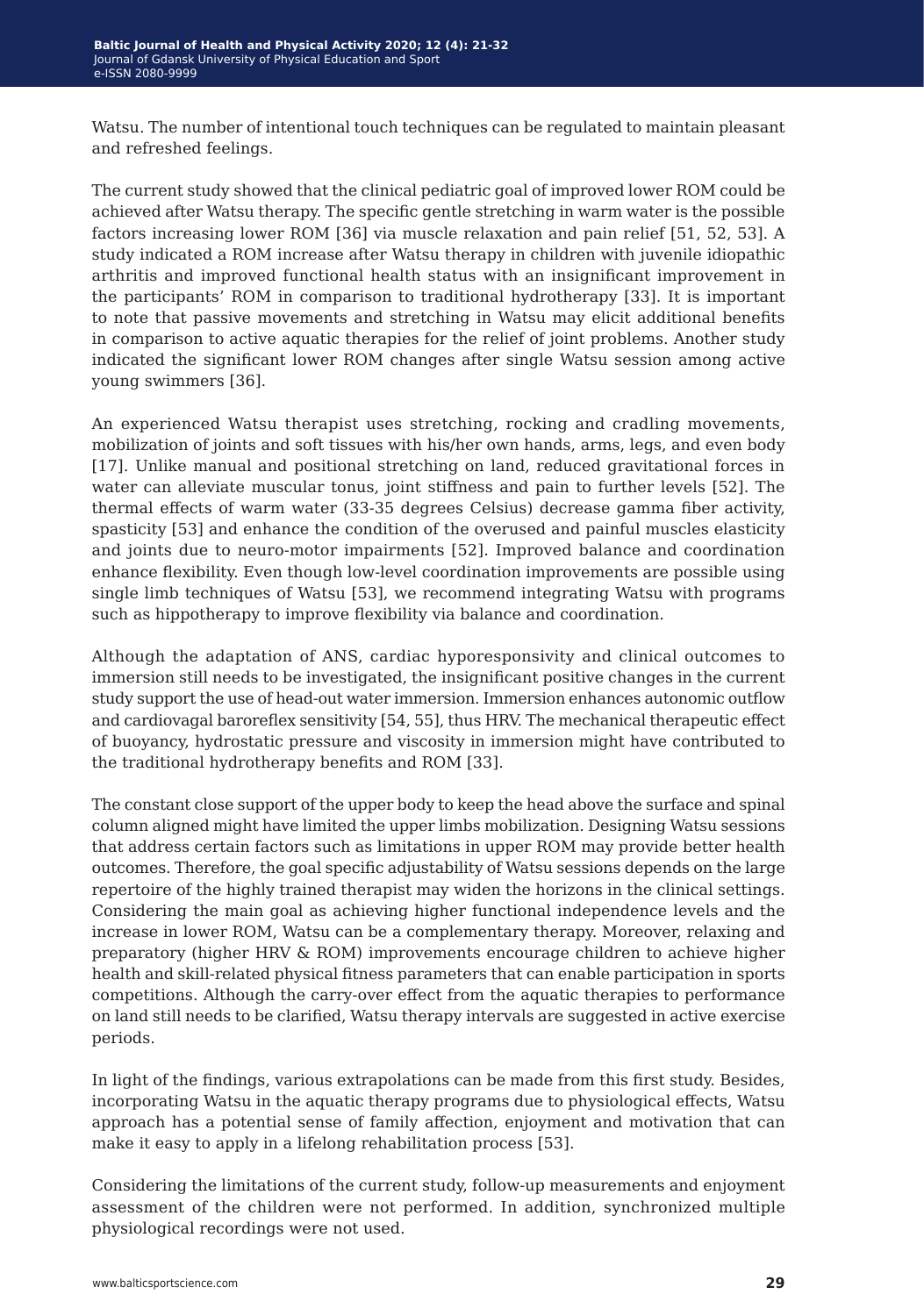Watsu. The number of intentional touch techniques can be regulated to maintain pleasant and refreshed feelings.

The current study showed that the clinical pediatric goal of improved lower ROM could be achieved after Watsu therapy. The specific gentle stretching in warm water is the possible factors increasing lower ROM [36] via muscle relaxation and pain relief [51, 52, 53]. A study indicated a ROM increase after Watsu therapy in children with juvenile idiopathic arthritis and improved functional health status with an insignificant improvement in the participants' ROM in comparison to traditional hydrotherapy [33]. It is important to note that passive movements and stretching in Watsu may elicit additional benefits in comparison to active aquatic therapies for the relief of joint problems. Another study indicated the significant lower ROM changes after single Watsu session among active young swimmers [36].

An experienced Watsu therapist uses stretching, rocking and cradling movements, mobilization of joints and soft tissues with his/her own hands, arms, legs, and even body [17]. Unlike manual and positional stretching on land, reduced gravitational forces in water can alleviate muscular tonus, joint stiffness and pain to further levels [52]. The thermal effects of warm water (33-35 degrees Celsius) decrease gamma fiber activity, spasticity [53] and enhance the condition of the overused and painful muscles elasticity and joints due to neuro-motor impairments [52]. Improved balance and coordination enhance flexibility. Even though low-level coordination improvements are possible using single limb techniques of Watsu [53], we recommend integrating Watsu with programs such as hippotherapy to improve flexibility via balance and coordination.

Although the adaptation of ANS, cardiac hyporesponsivity and clinical outcomes to immersion still needs to be investigated, the insignificant positive changes in the current study support the use of head-out water immersion. Immersion enhances autonomic outflow and cardiovagal baroreflex sensitivity [54, 55], thus HRV. The mechanical therapeutic effect of buoyancy, hydrostatic pressure and viscosity in immersion might have contributed to the traditional hydrotherapy benefits and ROM [33].

The constant close support of the upper body to keep the head above the surface and spinal column aligned might have limited the upper limbs mobilization. Designing Watsu sessions that address certain factors such as limitations in upper ROM may provide better health outcomes. Therefore, the goal specific adjustability of Watsu sessions depends on the large repertoire of the highly trained therapist may widen the horizons in the clinical settings. Considering the main goal as achieving higher functional independence levels and the increase in lower ROM, Watsu can be a complementary therapy. Moreover, relaxing and preparatory (higher HRV & ROM) improvements encourage children to achieve higher health and skill-related physical fitness parameters that can enable participation in sports competitions. Although the carry-over effect from the aquatic therapies to performance on land still needs to be clarified, Watsu therapy intervals are suggested in active exercise periods.

In light of the findings, various extrapolations can be made from this first study. Besides, incorporating Watsu in the aquatic therapy programs due to physiological effects, Watsu approach has a potential sense of family affection, enjoyment and motivation that can make it easy to apply in a lifelong rehabilitation process [53].

Considering the limitations of the current study, follow-up measurements and enjoyment assessment of the children were not performed. In addition, synchronized multiple physiological recordings were not used.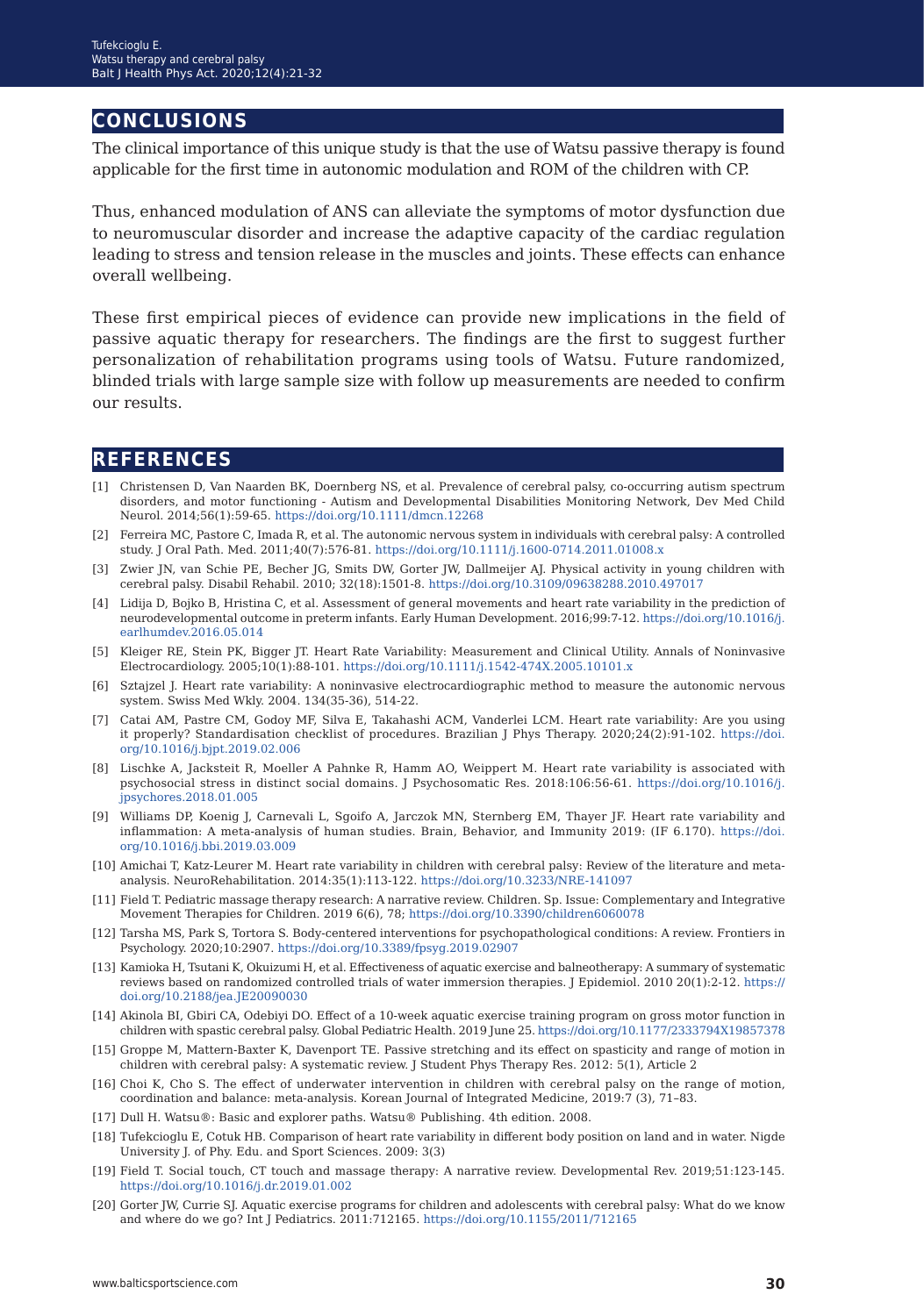## **conclusions**

The clinical importance of this unique study is that the use of Watsu passive therapy is found applicable for the first time in autonomic modulation and ROM of the children with CP.

Thus, enhanced modulation of ANS can alleviate the symptoms of motor dysfunction due to neuromuscular disorder and increase the adaptive capacity of the cardiac regulation leading to stress and tension release in the muscles and joints. These effects can enhance overall wellbeing.

These first empirical pieces of evidence can provide new implications in the field of passive aquatic therapy for researchers. The findings are the first to suggest further personalization of rehabilitation programs using tools of Watsu. Future randomized, blinded trials with large sample size with follow up measurements are needed to confirm our results.

### **references**

- [1] Christensen D, Van Naarden BK, Doernberg NS, et al. Prevalence of cerebral palsy, co-occurring autism spectrum disorders, and motor functioning - Autism and Developmental Disabilities Monitoring Network, Dev Med Child Neurol. 2014;56(1):59-65. <https://doi.org/10.1111/dmcn.12268>
- [2] Ferreira MC, Pastore C, Imada R, et al. The autonomic nervous system in individuals with cerebral palsy: A controlled study. J Oral Path. Med. 2011;40(7):576-81.<https://doi.org/10.1111/j.1600-0714.2011.01008.x>
- [3] Zwier JN, van Schie PE, Becher JG, Smits DW, Gorter JW, Dallmeijer AJ. Physical activity in young children with cerebral palsy. Disabil Rehabil. 2010; 32(18):1501-8.<https://doi.org/10.3109/09638288.2010.497017>
- [4] Lidija D, Bojko B, Hristina C, et al. Assessment of general movements and heart rate variability in the prediction of neurodevelopmental outcome in preterm infants. Early Human Development. 2016;99:7-12. [https://doi.org/10.1016/j.](https://doi.org/10.1016/j.earlhumdev.2016.05.014 ) [earlhumdev.2016.05.014](https://doi.org/10.1016/j.earlhumdev.2016.05.014 )
- [5] Kleiger RE, Stein PK, Bigger JT. Heart Rate Variability: Measurement and Clinical Utility. Annals of Noninvasive Electrocardiology. 2005;10(1):88-101. <https://doi.org/10.1111/j.1542-474X.2005.10101.x>
- [6] Sztajzel J. Heart rate variability: A noninvasive electrocardiographic method to measure the autonomic nervous system. Swiss Med Wkly. 2004. 134(35-36), 514-22.
- [7] Catai AM, Pastre CM, Godoy MF, Silva E, Takahashi ACM, Vanderlei LCM. Heart rate variability: Are you using it properly? Standardisation checklist of procedures. Brazilian J Phys Therapy. 2020;24(2):91-102[. https://doi.]( https://doi.org/10.1016/j.bjpt.2019.02.006) [org/10.1016/j.bjpt.2019.02.006]( https://doi.org/10.1016/j.bjpt.2019.02.006)
- [8] Lischke A, Jacksteit R, Moeller A Pahnke R, Hamm AO, Weippert M. Heart rate variability is associated with psychosocial stress in distinct social domains. J Psychosomatic Res. 2018:106:56-61. [https://doi.org/10.1016/j.](https://doi.org/10.1016/j.jpsychores.2018.01.005 ) [jpsychores.2018.01.005](https://doi.org/10.1016/j.jpsychores.2018.01.005 )
- [9] Williams DP, Koenig J, Carnevali L, Sgoifo A, Jarczok MN, Sternberg EM, Thayer JF. Heart rate variability and inflammation: A meta-analysis of human studies. Brain, Behavior, and Immunity 2019: (IF 6.170). [https://doi.](https://doi.org/10.1016/j.bbi.2019.03.009 ) [org/10.1016/j.bbi.2019.03.009](https://doi.org/10.1016/j.bbi.2019.03.009 )
- [10] Amichai T, Katz-Leurer M. Heart rate variability in children with cerebral palsy: Review of the literature and metaanalysis. NeuroRehabilitation. 2014:35(1):113-122.<https://doi.org/10.3233/NRE-141097>
- [11] Field T. Pediatric massage therapy research: A narrative review. Children. Sp. Issue: Complementary and Integrative Movement Therapies for Children. 2019 6(6), 78; [https://doi.org/10.3390/children6060078](https://doi.org/10.3390/children6060078 )
- [12] Tarsha MS, Park S, Tortora S. Body-centered interventions for psychopathological conditions: A review. Frontiers in Psychology. 2020;10:2907. <https://doi.org/10.3389/fpsyg.2019.02907>
- [13] Kamioka H, Tsutani K, Okuizumi H, et al. Effectiveness of aquatic exercise and balneotherapy: A summary of systematic reviews based on randomized controlled trials of water immersion therapies. J Epidemiol. 2010 20(1):2-12. [https://](https://doi.org/10.2188/jea.JE20090030) [doi.org/10.2188/jea.JE20090030](https://doi.org/10.2188/jea.JE20090030)
- [14] Akinola BI, Gbiri CA, Odebiyi DO. Effect of a 10-week aquatic exercise training program on gross motor function in children with spastic cerebral palsy. Global Pediatric Health. 2019 June 25. [https://doi.org/10.1177/2333794X19857378](https://doi.org/10.1177/2333794X19857378 )
- [15] Groppe M, Mattern-Baxter K, Davenport TE. Passive stretching and its effect on spasticity and range of motion in children with cerebral palsy: A systematic review. J Student Phys Therapy Res. 2012: 5(1), Article 2
- [16] Choi K, Cho S. The effect of underwater intervention in children with cerebral palsy on the range of motion, coordination and balance: meta-analysis. Korean Journal of Integrated Medicine, 2019:7 (3), 71–83.
- [17] Dull H. Watsu®: Basic and explorer paths. Watsu® Publishing. 4th edition. 2008.
- [18] Tufekcioglu E, Cotuk HB. Comparison of heart rate variability in different body position on land and in water. Nigde University J. of Phy. Edu. and Sport Sciences. 2009: 3(3)
- [19] Field T. Social touch, CT touch and massage therapy: A narrative review. Developmental Rev. 2019;51:123-145. <https://doi.org/10.1016/j.dr.2019.01.002>
- [20] Gorter JW, Currie SJ. Aquatic exercise programs for children and adolescents with cerebral palsy: What do we know and where do we go? Int J Pediatrics. 2011:712165. <https://doi.org/10.1155/2011/712165>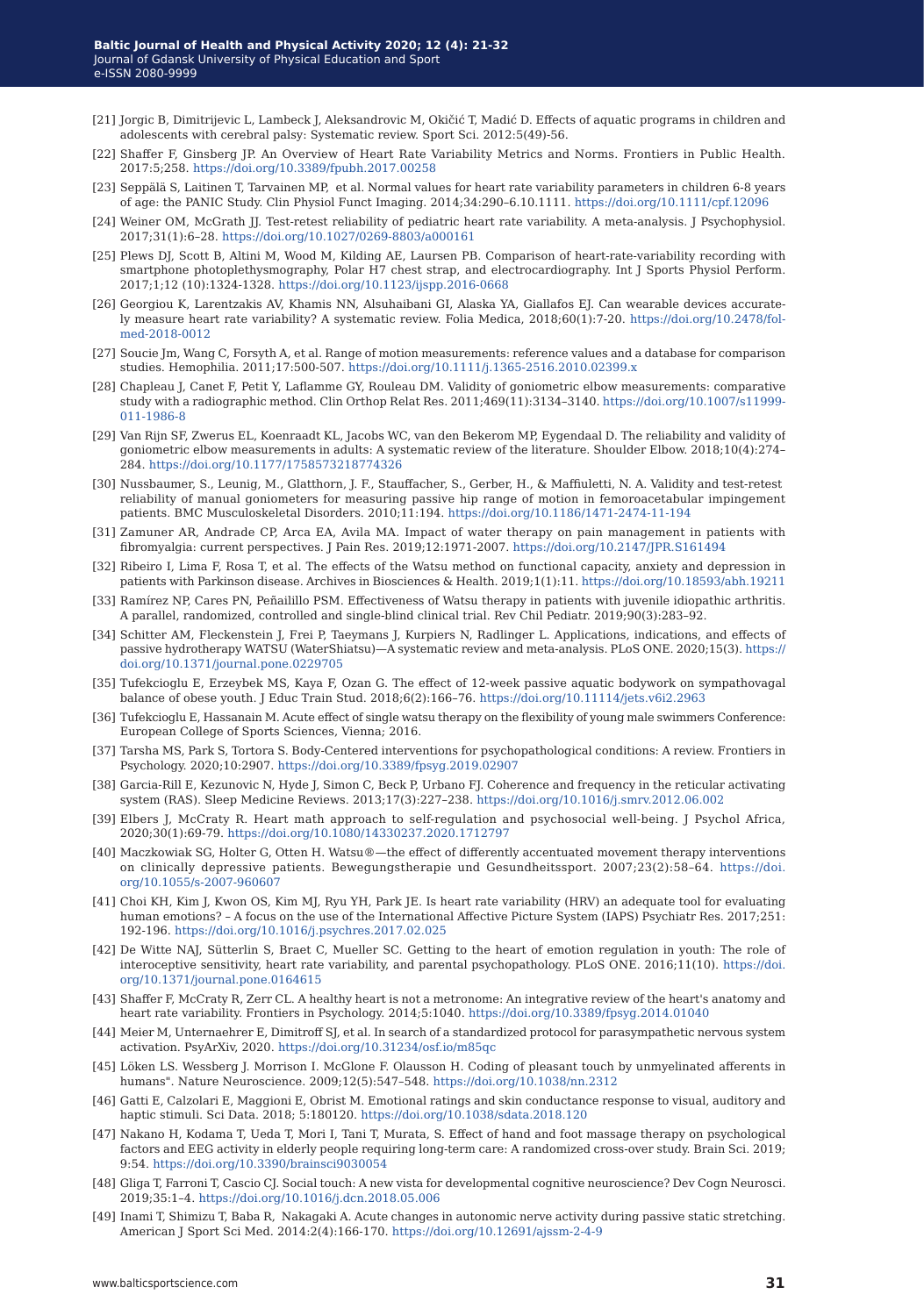- [21] Jorgic B, Dimitrijevic L, Lambeck J, Aleksandrovic M, Okičić T, Madić D. Effects of aquatic programs in children and adolescents with cerebral palsy: Systematic review. Sport Sci. 2012:5(49)-56.
- [22] Shaffer F, Ginsberg JP. An Overview of Heart Rate Variability Metrics and Norms. Frontiers in Public Health. 2017:5;258. [https://doi.org/10.3389/fpubh.2017.00258](https://doi.org/10.3389/fpubh.2017.00258 )
- [23] Seppälä S, Laitinen T, Tarvainen MP, et al. Normal values for heart rate variability parameters in children 6-8 years of age: the PANIC Study. Clin Physiol Funct Imaging. 2014;34:290–6.10.1111. [https://doi.org/10.1111/cpf.12096](https://doi.org/10.1111/cpf.12096 )
- [24] Weiner OM, McGrath JJ. Test-retest reliability of pediatric heart rate variability. A meta-analysis. J Psychophysiol. 2017;31(1):6–28.<https://doi.org/10.1027/0269-8803/a000161>
- [25] Plews DJ, Scott B, Altini M, Wood M, Kilding AE, Laursen PB. Comparison of heart-rate-variability recording with smartphone photoplethysmography, Polar H7 chest strap, and electrocardiography. Int J Sports Physiol Perform. 2017;1;12 (10):1324-1328. <https://doi.org/10.1123/ijspp.2016-0668>
- [26] Georgiou K, Larentzakis AV, Khamis NN, Alsuhaibani GI, Alaska YA, Giallafos EJ. Can wearable devices accurately measure heart rate variability? A systematic review. Folia Medica, 2018;60(1):7-20. [https://doi.org/10.2478/fol](https://doi.org/10.2478/folmed-2018-0012 )[med-2018-0012](https://doi.org/10.2478/folmed-2018-0012 )
- [27] Soucie Jm, Wang C, Forsyth A, et al. Range of motion measurements: reference values and a database for comparison studies. Hemophilia. 2011;17:500-507. <https://doi.org/10.1111/j.1365-2516.2010.02399.x>
- [28] Chapleau J, Canet F, Petit Y, Laflamme GY, Rouleau DM. Validity of goniometric elbow measurements: comparative study with a radiographic method. Clin Orthop Relat Res. 2011;469(11):3134–3140. [https://doi.org/10.1007/s11999-](https://doi.org/10.1007/s11999-011-1986-8 ) [011-1986-8](https://doi.org/10.1007/s11999-011-1986-8 )
- [29] Van Rijn SF, Zwerus EL, Koenraadt KL, Jacobs WC, van den Bekerom MP, Eygendaal D. The reliability and validity of goniometric elbow measurements in adults: A systematic review of the literature. Shoulder Elbow. 2018;10(4):274– 284. [https://doi.org/10.1177/1758573218774326](https://doi.org/10.1177/1758573218774326 )
- [30] Nussbaumer, S., Leunig, M., Glatthorn, J. F., Stauffacher, S., Gerber, H., & Maffiuletti, N. A. Validity and test-retest reliability of manual goniometers for measuring passive hip range of motion in femoroacetabular impingement patients. BMC Musculoskeletal Disorders. 2010;11:194.<https://doi.org/10.1186/1471-2474-11-194>
- [31] Zamuner AR, Andrade CP, Arca EA, Avila MA. Impact of water therapy on pain management in patients with fibromyalgia: current perspectives. J Pain Res. 2019;12:1971‐2007. [https://doi.org/10.2147/JPR.S161494](https://doi.org/10.2147/JPR.S161494 )
- [32] Ribeiro I, Lima F, Rosa T, et al. The effects of the Watsu method on functional capacity, anxiety and depression in patients with Parkinson disease. Archives in Biosciences & Health. 2019;1(1):11. [https://doi.org/10.18593/abh.19211](https://doi.org/10.18593/abh.19211 )
- [33] Ramírez NP, Cares PN, Peñailillo PSM. Effectiveness of Watsu therapy in patients with juvenile idiopathic arthritis. A parallel, randomized, controlled and single-blind clinical trial. Rev Chil Pediatr. 2019;90(3):283–92.
- [34] Schitter AM, Fleckenstein J, Frei P, Taeymans J, Kurpiers N, Radlinger L. Applications, indications, and effects of passive hydrotherapy WATSU (WaterShiatsu)—A systematic review and meta-analysis. PLoS ONE. 2020;15(3). [https://](https://doi.org/10.1371/journal.pone.0229705 ) [doi.org/10.1371/journal.pone.0229705](https://doi.org/10.1371/journal.pone.0229705 )
- [35] Tufekcioglu E, Erzeybek MS, Kaya F, Ozan G. The effect of 12-week passive aquatic bodywork on sympathovagal balance of obese youth. J Educ Train Stud. 2018;6(2):166–76.<https://doi.org/10.11114/jets.v6i2.2963>
- [36] Tufekcioglu E, Hassanain M. Acute effect of single watsu therapy on the flexibility of young male swimmers Conference: European College of Sports Sciences, Vienna; 2016.
- [37] Tarsha MS, Park S, Tortora S. Body-Centered interventions for psychopathological conditions: A review. Frontiers in Psychology. 2020;10:2907. <https://doi.org/10.3389/fpsyg.2019.02907>
- [38] Garcia-Rill E, Kezunovic N, Hyde J, Simon C, Beck P, Urbano FJ. Coherence and frequency in the reticular activating system (RAS). Sleep Medicine Reviews. 2013;17(3):227–238. <https://doi.org/10.1016/j.smrv.2012.06.002>
- [39] Elbers J, McCraty R. Heart math approach to self-regulation and psychosocial well-being. J Psychol Africa, 2020;30(1):69-79. <https://doi.org/10.1080/14330237.2020.1712797>
- [40] Maczkowiak SG, Holter G, Otten H. Watsu®—the effect of differently accentuated movement therapy interventions on clinically depressive patients. Bewegungstherapie und Gesundheitssport. 2007;23(2):58–64. [https://doi.](https://doi.org/10.1055/s-2007-960607) [org/10.1055/s-2007-960607](https://doi.org/10.1055/s-2007-960607)
- [41] Choi KH, Kim J, Kwon OS, Kim MJ, Ryu YH, Park JE. Is heart rate variability (HRV) an adequate tool for evaluating human emotions? – A focus on the use of the International Affective Picture System (IAPS) Psychiatr Res. 2017;251: 192-196[. https://doi.org/10.1016/j.psychres.2017.02.025]( https://doi.org/10.1016/j.psychres.2017.02.025)
- [42] De Witte NAJ, Sütterlin S, Braet C, Mueller SC. Getting to the heart of emotion regulation in youth: The role of interoceptive sensitivity, heart rate variability, and parental psychopathology. PLoS ONE. 2016;11(10). [https://doi.](https://doi.org/10.1371/journal.pone.0164615) [org/10.1371/journal.pone.0164615](https://doi.org/10.1371/journal.pone.0164615)
- [43] Shaffer F, McCraty R, Zerr CL. A healthy heart is not a metronome: An integrative review of the heart's anatomy and heart rate variability. Frontiers in Psychology. 2014;5:1040. <https://doi.org/10.3389/fpsyg.2014.01040>
- [44] Meier M, Unternaehrer E, Dimitroff SJ, et al. In search of a standardized protocol for parasympathetic nervous system activation. PsyArXiv, 2020. <https://doi.org/10.31234/osf.io/m85qc>
- [45] Löken LS. Wessberg J. Morrison I. McGlone F. Olausson H. Coding of pleasant touch by unmyelinated afferents in humans". Nature Neuroscience. 2009;12(5):547–548. <https://doi.org/10.1038/nn.2312>
- [46] Gatti E, Calzolari E, Maggioni E, Obrist M. Emotional ratings and skin conductance response to visual, auditory and haptic stimuli. Sci Data. 2018; 5:180120. <https://doi.org/10.1038/sdata.2018.120>
- [47] Nakano H, Kodama T, Ueda T, Mori I, Tani T, Murata, S. Effect of hand and foot massage therapy on psychological factors and EEG activity in elderly people requiring long-term care: A randomized cross-over study. Brain Sci. 2019; 9:54. <https://doi.org/10.3390/brainsci9030054>
- [48] Gliga T, Farroni T, Cascio CJ. Social touch: A new vista for developmental cognitive neuroscience? Dev Cogn Neurosci. 2019;35:1–4.<https://doi.org/10.1016/j.dcn.2018.05.006>
- [49] Inami T, Shimizu T, Baba R, Nakagaki A. Acute changes in autonomic nerve activity during passive static stretching. American J Sport Sci Med. 2014:2(4):166-170. <https://doi.org/10.12691/ajssm-2-4-9>